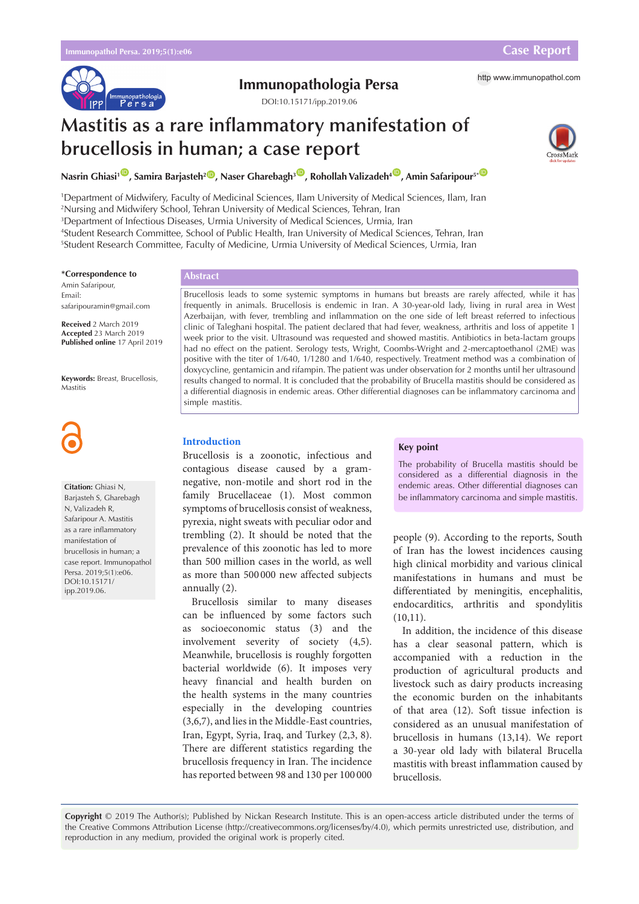

# **Immunopathologia Persa** http [www.immunopathol.com](http://www.immunopathol.com)

DOI[:10.15171/ipp.2019.06](https://doi.org/10.15171/ipp.2019.06)

# **Mastitis as a rare inflammatory manifestation of brucellosis in human; a case report**



**Nasrin Ghiasi<sup>1</sup> <sup>[ID](https://orcid.org/000-0002-1314-3831)</sup>, Samira Barjasteh<sup>2</sup> ID, Naser Gharebagh<sup>3</sup> ID, Rohollah Valizadeh<sup>4 ID</sup>, Amin Safaripour<sup>5\* ID</sup>** 

 Department of Midwifery, Faculty of Medicinal Sciences, Ilam University of Medical Sciences, Ilam, Iran Nursing and Midwifery School, Tehran University of Medical Sciences, Tehran, Iran Department of Infectious Diseases, Urmia University of Medical Sciences, Urmia, Iran Student Research Committee, School of Public Health, Iran University of Medical Sciences, Tehran, Iran Student Research Committee, Faculty of Medicine, Urmia University of Medical Sciences, Urmia, Iran

#### **\*Correspondence to**

Amin Safaripour, Email: safaripouramin@gmail.com

**Received** 2 March 2019 **Accepted** 23 March 2019 **Published online** 17 April 2019

**Keywords:** Breast, Brucellosis, Mastitis



## **Citation:** Ghiasi N,

Barjasteh S, Gharebagh N, Valizadeh R, Safaripour A. Mastitis as a rare inflammatory manifestation of brucellosis in human; a case report. Immunopathol Persa. 2019;5(1):e06. DOI:10.15171/ ipp.2019.06.

# **Abstract**

Brucellosis leads to some systemic symptoms in humans but breasts are rarely affected, while it has frequently in animals. Brucellosis is endemic in Iran. A 30-year-old lady, living in rural area in West Azerbaijan, with fever, trembling and inflammation on the one side of left breast referred to infectious clinic of Taleghani hospital. The patient declared that had fever, weakness, arthritis and loss of appetite 1 week prior to the visit. Ultrasound was requested and showed mastitis. Antibiotics in beta-lactam groups had no effect on the patient. Serology tests, Wright, Coombs-Wright and 2-mercaptoethanol (2ME) was positive with the titer of 1/640, 1/1280 and 1/640, respectively. Treatment method was a combination of doxycycline, gentamicin and rifampin. The patient was under observation for 2 months until her ultrasound results changed to normal. It is concluded that the probability of Brucella mastitis should be considered as a differential diagnosis in endemic areas. Other differential diagnoses can be inflammatory carcinoma and simple mastitis.

# **Introduction**

Brucellosis is a zoonotic, infectious and contagious disease caused by a gramnegative, non-motile and short rod in the family Brucellaceae (1). Most common symptoms of brucellosis consist of weakness, pyrexia, night sweats with peculiar odor and trembling (2). It should be noted that the prevalence of this zoonotic has led to more than 500 million cases in the world, as well as more than 500 000 new affected subjects annually (2).

Brucellosis similar to many diseases can be influenced by some factors such as socioeconomic status (3) and the involvement severity of society (4,5). Meanwhile, brucellosis is roughly forgotten bacterial worldwide (6). It imposes very heavy financial and health burden on the health systems in the many countries especially in the developing countries (3,6,7), and lies in the Middle-East countries, Iran, Egypt, Syria, Iraq, and Turkey (2,3, 8). There are different statistics regarding the brucellosis frequency in Iran. The incidence has reported between 98 and 130 per 100 000

#### **Key point**

The probability of Brucella mastitis should be considered as a differential diagnosis in the endemic areas. Other differential diagnoses can be inflammatory carcinoma and simple mastitis.

people (9). According to the reports, South of Iran has the lowest incidences causing high clinical morbidity and various clinical manifestations in humans and must be differentiated by meningitis, encephalitis, endocarditics, arthritis and spondylitis  $(10,11)$ .

In addition, the incidence of this disease has a clear seasonal pattern, which is accompanied with a reduction in the production of agricultural products and livestock such as dairy products increasing the economic burden on the inhabitants of that area (12). Soft tissue infection is considered as an unusual manifestation of brucellosis in humans (13,14). We report a 30-year old lady with bilateral Brucella mastitis with breast inflammation caused by brucellosis.

**Copyright** © 2019 The Author(s); Published by Nickan Research Institute. This is an open-access article distributed under the terms of the Creative Commons Attribution License (http://creativecommons.org/licenses/by/4.0), which permits unrestricted use, distribution, and reproduction in any medium, provided the original work is properly cited.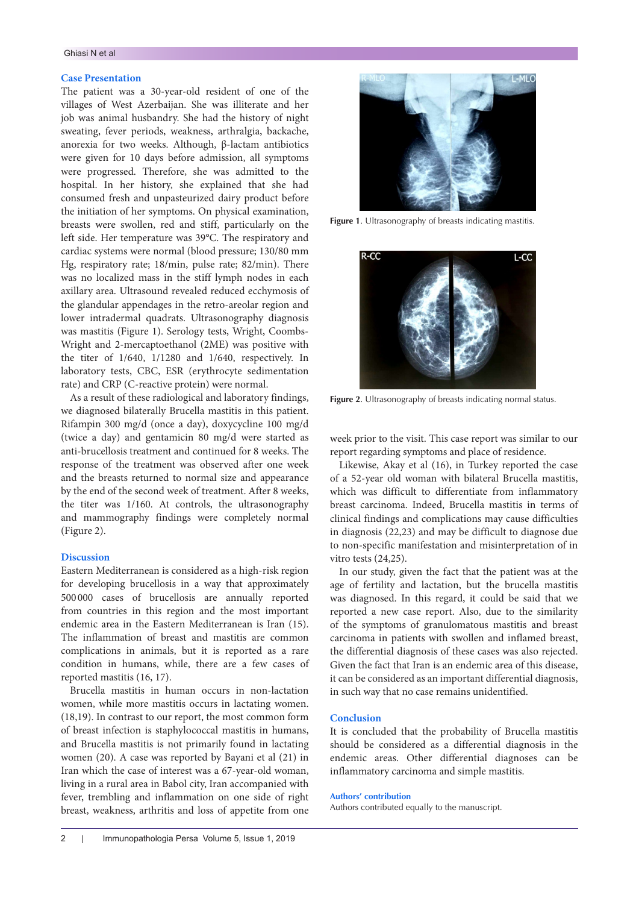## Ghiasi N et al

#### **Case Presentation**

The patient was a 30-year-old resident of one of the villages of West Azerbaijan. She was illiterate and her job was animal husbandry. She had the history of night sweating, fever periods, weakness, arthralgia, backache, anorexia for two weeks. Although, β-lactam antibiotics were given for 10 days before admission, all symptoms were progressed. Therefore, she was admitted to the hospital. In her history, she explained that she had consumed fresh and unpasteurized dairy product before the initiation of her symptoms. On physical examination, breasts were swollen, red and stiff, particularly on the left side. Her temperature was 39°C. The respiratory and cardiac systems were normal (blood pressure; 130/80 mm Hg, respiratory rate; 18/min, pulse rate; 82/min). There was no localized mass in the stiff lymph nodes in each axillary area. Ultrasound revealed reduced ecchymosis of the glandular appendages in the retro-areolar region and lower intradermal quadrats. Ultrasonography diagnosis was mastitis (Figure 1). Serology tests, Wright, Coombs-Wright and 2-mercaptoethanol (2ME) was positive with the titer of 1/640, 1/1280 and 1/640, respectively. In laboratory tests, CBC, ESR (erythrocyte sedimentation rate) and CRP (C-reactive protein) were normal.

As a result of these radiological and laboratory findings, we diagnosed bilaterally Brucella mastitis in this patient. Rifampin 300 mg/d (once a day), doxycycline 100 mg/d (twice a day) and gentamicin 80 mg/d were started as anti-brucellosis treatment and continued for 8 weeks. The response of the treatment was observed after one week and the breasts returned to normal size and appearance by the end of the second week of treatment. After 8 weeks, the titer was 1/160. At controls, the ultrasonography and mammography findings were completely normal (Figure 2).

## **Discussion**

Eastern Mediterranean is considered as a high-risk region for developing brucellosis in a way that approximately 500 000 cases of brucellosis are annually reported from countries in this region and the most important endemic area in the Eastern Mediterranean is Iran (15). The inflammation of breast and mastitis are common complications in animals, but it is reported as a rare condition in humans, while, there are a few cases of reported mastitis (16, 17).

Brucella mastitis in human occurs in non-lactation women, while more mastitis occurs in lactating women. (18,19). In contrast to our report, the most common form of breast infection is staphylococcal mastitis in humans, and Brucella mastitis is not primarily found in lactating women (20). A case was reported by Bayani et al (21) in Iran which the case of interest was a 67-year-old woman, living in a rural area in Babol city, Iran accompanied with fever, trembling and inflammation on one side of right breast, weakness, arthritis and loss of appetite from one



**Figure 1**. Ultrasonography of breasts indicating mastitis.



**Figure 2**. Ultrasonography of breasts indicating normal status.

week prior to the visit. This case report was similar to our report regarding symptoms and place of residence.

Likewise, Akay et al (16), in Turkey reported the case of a 52-year old woman with bilateral Brucella mastitis, which was difficult to differentiate from inflammatory breast carcinoma. Indeed, Brucella mastitis in terms of clinical findings and complications may cause difficulties in diagnosis (22,23) and may be difficult to diagnose due to non-specific manifestation and misinterpretation of in vitro tests (24,25).

In our study, given the fact that the patient was at the age of fertility and lactation, but the brucella mastitis was diagnosed. In this regard, it could be said that we reported a new case report. Also, due to the similarity of the symptoms of granulomatous mastitis and breast carcinoma in patients with swollen and inflamed breast, the differential diagnosis of these cases was also rejected. Given the fact that Iran is an endemic area of this disease, it can be considered as an important differential diagnosis, in such way that no case remains unidentified.

#### **Conclusion**

It is concluded that the probability of Brucella mastitis should be considered as a differential diagnosis in the endemic areas. Other differential diagnoses can be inflammatory carcinoma and simple mastitis.

#### **Authors' contribution**

Authors contributed equally to the manuscript.